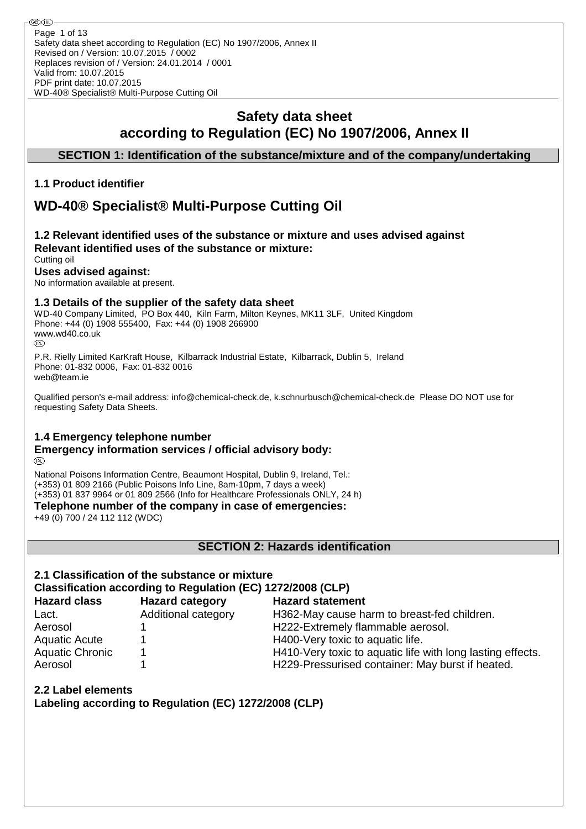# **Safety data sheet according to Regulation (EC) No 1907/2006, Annex II**

## **SECTION 1: Identification of the substance/mixture and of the company/undertaking**

## **1.1 Product identifier**

# **WD-40® Specialist® Multi-Purpose Cutting Oil**

#### **1.2 Relevant identified uses of the substance or mixture and uses advised against Relevant identified uses of the substance or mixture:** Cutting oil

## **Uses advised against:**

No information available at present.

## **1.3 Details of the supplier of the safety data sheet**

WD-40 Company Limited, PO Box 440, Kiln Farm, Milton Keynes, MK11 3LF, United Kingdom Phone: +44 (0) 1908 555400, Fax: +44 (0) 1908 266900 WWW.wd40.co.uk

P.R. Rielly Limited KarKraft House, Kilbarrack Industrial Estate, Kilbarrack, Dublin 5, Ireland Phone: 01-832 0006, Fax: 01-832 0016 web@team.ie

Qualified person's e-mail address: info@chemical-check.de, k.schnurbusch@chemical-check.de Please DO NOT use for requesting Safety Data Sheets.

## **1.4 Emergency telephone number**

#### **Emergency information services / official advisory body:** (R)

National Poisons Information Centre, Beaumont Hospital, Dublin 9, Ireland, Tel.: (+353) 01 809 2166 (Public Poisons Info Line, 8am-10pm, 7 days a week) (+353) 01 837 9964 or 01 809 2566 (Info for Healthcare Professionals ONLY, 24 h)

**Telephone number of the company in case of emergencies:**

+49 (0) 700 / 24 112 112 (WDC)

#### **SECTION 2: Hazards identification**

# **2.1 Classification of the substance or mixture**

## **Classification according to Regulation (EC) 1272/2008 (CLP)**

| <b>Hazard class</b>    | <b>Hazard category</b> | <b>Hazard statement</b>                                    |
|------------------------|------------------------|------------------------------------------------------------|
| Lact.                  | Additional category    | H362-May cause harm to breast-fed children.                |
| Aerosol                |                        | H222-Extremely flammable aerosol.                          |
| <b>Aquatic Acute</b>   |                        | H400-Very toxic to aquatic life.                           |
| <b>Aquatic Chronic</b> |                        | H410-Very toxic to aquatic life with long lasting effects. |
| Aerosol                |                        | H229-Pressurised container: May burst if heated.           |

## **2.2 Label elements**

**Labeling according to Regulation (EC) 1272/2008 (CLP)**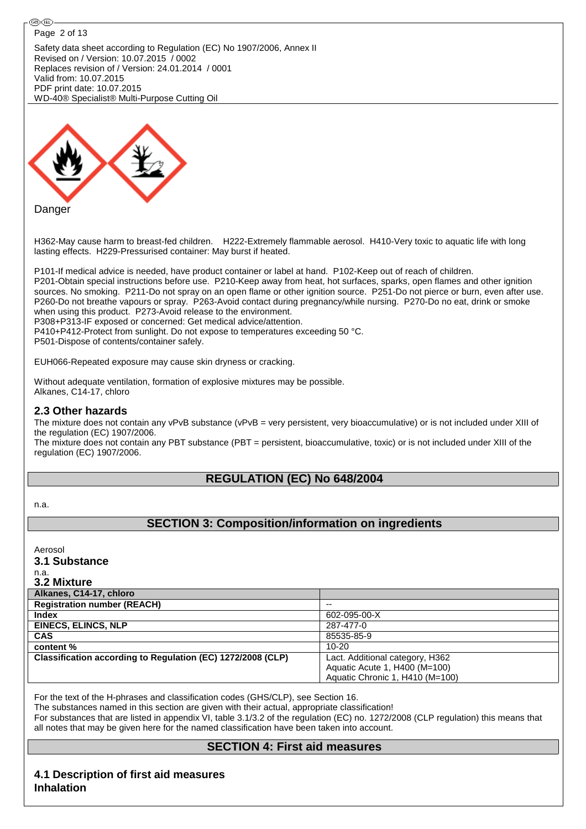

H362-May cause harm to breast-fed children. H222-Extremely flammable aerosol. H410-Very toxic to aquatic life with long lasting effects. H229-Pressurised container: May burst if heated.

P101-If medical advice is needed, have product container or label at hand. P102-Keep out of reach of children. P201-Obtain special instructions before use. P210-Keep away from heat, hot surfaces, sparks, open flames and other ignition sources. No smoking. P211-Do not spray on an open flame or other ignition source. P251-Do not pierce or burn, even after use. P260-Do not breathe vapours or spray. P263-Avoid contact during pregnancy/while nursing. P270-Do no eat, drink or smoke when using this product. P273-Avoid release to the environment. P308+P313-IF exposed or concerned: Get medical advice/attention.

P410+P412-Protect from sunlight. Do not expose to temperatures exceeding 50 °C.

P501-Dispose of contents/container safely.

EUH066-Repeated exposure may cause skin dryness or cracking.

Without adequate ventilation, formation of explosive mixtures may be possible. Alkanes, C14-17, chloro

### **2.3 Other hazards**

The mixture does not contain any vPvB substance (vPvB = very persistent, very bioaccumulative) or is not included under XIII of the regulation (EC) 1907/2006.

The mixture does not contain any PBT substance (PBT = persistent, bioaccumulative, toxic) or is not included under XIII of the regulation (EC) 1907/2006.

## **REGULATION (EC) No 648/2004**

n.a.

## **SECTION 3: Composition/information on ingredients**

Aerosol

#### **3.1 Substance**

n.a. **3.2 Mixture**

| VIL MIALUIV                                                 |                                 |
|-------------------------------------------------------------|---------------------------------|
| Alkanes, C14-17, chloro                                     |                                 |
| <b>Registration number (REACH)</b>                          | --                              |
| <b>Index</b>                                                | 602-095-00-X                    |
| <b>EINECS, ELINCS, NLP</b>                                  | 287-477-0                       |
| <b>CAS</b>                                                  | 85535-85-9                      |
| content %                                                   | $10 - 20$                       |
| Classification according to Regulation (EC) 1272/2008 (CLP) | Lact. Additional category, H362 |
|                                                             | Aquatic Acute 1, H400 (M=100)   |
|                                                             | Aquatic Chronic 1, H410 (M=100) |

For the text of the H-phrases and classification codes (GHS/CLP), see Section 16.

The substances named in this section are given with their actual, appropriate classification! For substances that are listed in appendix VI, table 3.1/3.2 of the regulation (EC) no. 1272/2008 (CLP regulation) this means that

all notes that may be given here for the named classification have been taken into account.

## **SECTION 4: First aid measures**

## **4.1 Description of first aid measures Inhalation**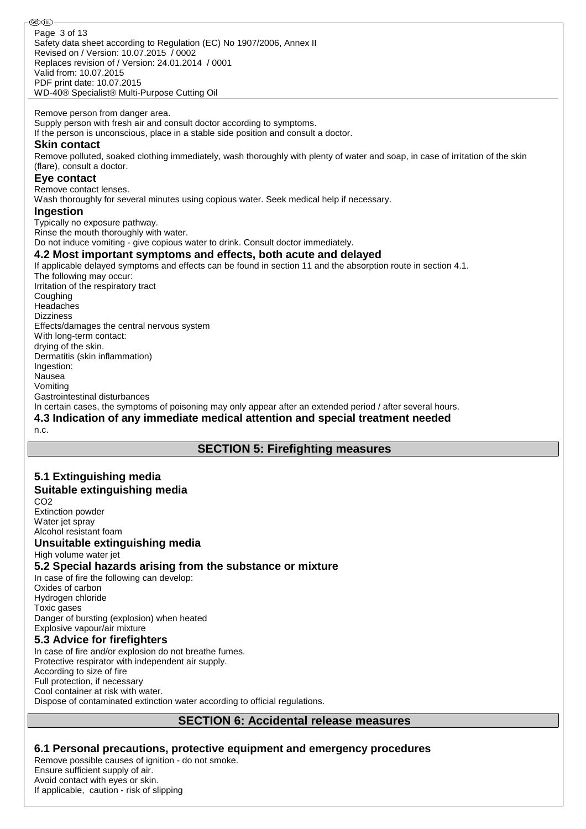ை® Page 3 of 13Safety data sheet according to Regulation (EC) No 1907/2006, Annex II Revised on / Version: 10.07.2015 / 0002 Replaces revision of / Version: 24.01.2014 / 0001 Valid from: 10.07.2015 PDF print date: 10.07.2015 WD-40® Specialist® Multi-Purpose Cutting Oil Remove person from danger area. Supply person with fresh air and consult doctor according to symptoms. If the person is unconscious, place in a stable side position and consult a doctor. **Skin contact** Remove polluted, soaked clothing immediately, wash thoroughly with plenty of water and soap, in case of irritation of the skin (flare), consult a doctor. **Eye contact** Remove contact lenses. Wash thoroughly for several minutes using copious water. Seek medical help if necessary. **Ingestion** Typically no exposure pathway. Rinse the mouth thoroughly with water. Do not induce vomiting - give copious water to drink. Consult doctor immediately. **4.2 Most important symptoms and effects, both acute and delayed** If applicable delayed symptoms and effects can be found in section 11 and the absorption route in section 4.1. The following may occur: Irritation of the respiratory tract **Coughing** Headaches **Dizziness** Effects/damages the central nervous system With long-term contact: drying of the skin. Dermatitis (skin inflammation) Ingestion: Nausea Vomiting Gastrointestinal disturbances In certain cases, the symptoms of poisoning may only appear after an extended period / after several hours. **4.3 Indication of any immediate medical attention and special treatment needed** n.c.

## **SECTION 5: Firefighting measures**

### **5.1 Extinguishing media Suitable extinguishing media**

CO2 Extinction powder Water jet spray Alcohol resistant foam

## **Unsuitable extinguishing media**

High volume water jet

## **5.2 Special hazards arising from the substance or mixture**

In case of fire the following can develop: Oxides of carbon Hydrogen chloride Toxic gases Danger of bursting (explosion) when heated Explosive vapour/air mixture

## **5.3 Advice for firefighters**

In case of fire and/or explosion do not breathe fumes. Protective respirator with independent air supply. According to size of fire Full protection, if necessary Cool container at risk with water. Dispose of contaminated extinction water according to official regulations.

## **SECTION 6: Accidental release measures**

## **6.1 Personal precautions, protective equipment and emergency procedures**

Remove possible causes of ignition - do not smoke. Ensure sufficient supply of air. Avoid contact with eyes or skin. If applicable, caution - risk of slipping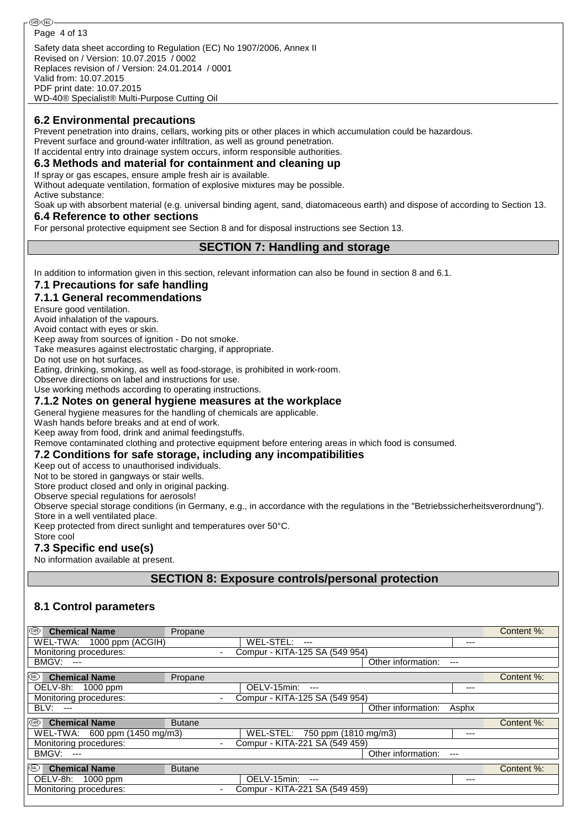Safety data sheet according to Regulation (EC) No 1907/2006, Annex II Revised on / Version: 10.07.2015 / 0002 Replaces revision of / Version: 24.01.2014 / 0001 Valid from: 10.07.2015 PDF print date: 10.07.2015

WD-40® Specialist® Multi-Purpose Cutting Oil

#### **6.2 Environmental precautions**

Prevent penetration into drains, cellars, working pits or other places in which accumulation could be hazardous.

Prevent surface and ground-water infiltration, as well as ground penetration.

If accidental entry into drainage system occurs, inform responsible authorities.

**6.3 Methods and material for containment and cleaning up**

If spray or gas escapes, ensure ample fresh air is available.

Without adequate ventilation, formation of explosive mixtures may be possible. Active substance:

Soak up with absorbent material (e.g. universal binding agent, sand, diatomaceous earth) and dispose of according to Section 13. **6.4 Reference to other sections**

For personal protective equipment see Section 8 and for disposal instructions see Section 13.

## **SECTION 7: Handling and storage**

In addition to information given in this section, relevant information can also be found in section 8 and 6.1.

### **7.1 Precautions for safe handling**

#### **7.1.1 General recommendations**

Ensure good ventilation.

Avoid inhalation of the vapours.

Avoid contact with eyes or skin.

Keep away from sources of ignition - Do not smoke.

Take measures against electrostatic charging, if appropriate.

Do not use on hot surfaces.

Eating, drinking, smoking, as well as food-storage, is prohibited in work-room.

Observe directions on label and instructions for use.

Use working methods according to operating instructions.

#### **7.1.2 Notes on general hygiene measures at the workplace**

General hygiene measures for the handling of chemicals are applicable.

Wash hands before breaks and at end of work.

Keep away from food, drink and animal feedingstuffs.

Remove contaminated clothing and protective equipment before entering areas in which food is consumed.

#### **7.2 Conditions for safe storage, including any incompatibilities**

Keep out of access to unauthorised individuals.

Not to be stored in gangways or stair wells.

Store product closed and only in original packing.

Observe special regulations for aerosols!

Observe special storage conditions (in Germany, e.g., in accordance with the regulations in the "Betriebssicherheitsverordnung"). Store in a well ventilated place.

Keep protected from direct sunlight and temperatures over 50°C.

## Store cool

## **7.3 Specific end use(s)**

No information available at present.

**SECTION 8: Exposure controls/personal protection**

## **8.1 Control parameters**

| ⊛<br><b>Chemical Name</b>              | Propane       |                                |       | Content %: |
|----------------------------------------|---------------|--------------------------------|-------|------------|
| WEL-TWA: 1000 ppm (ACGIH)              |               | WEL-STEL:<br>$---$             | ---   |            |
| Monitoring procedures:                 |               | Compur - KITA-125 SA (549 954) |       |            |
| <b>BMGV: ---</b>                       |               | Other information:             | $---$ |            |
| $^{\circledR}$<br><b>Chemical Name</b> | Propane       |                                |       | Content %: |
| OELV-8h: 1000 ppm                      |               | OELV-15min:<br>$---$           | ---   |            |
| Monitoring procedures:                 |               | Compur - KITA-125 SA (549 954) |       |            |
| <b>BLV: ---</b>                        |               | Other information:             | Asphx |            |
| ⊛<br><b>Chemical Name</b>              | <b>Butane</b> |                                |       | Content %: |
| WEL-TWA: 600 ppm (1450 mg/m3)          |               | WEL-STEL: 750 ppm (1810 mg/m3) | ---   |            |
| Monitoring procedures:                 |               | Compur - KITA-221 SA (549 459) |       |            |
| <b>BMGV: ---</b>                       |               | Other information:             | $---$ |            |
| $^{\circledR}$<br><b>Chemical Name</b> | <b>Butane</b> |                                |       | Content %: |
| OELV-8h: 1000 ppm                      |               | OELV-15min:<br>$---$           | ---   |            |
| Monitoring procedures:                 |               | Compur - KITA-221 SA (549 459) |       |            |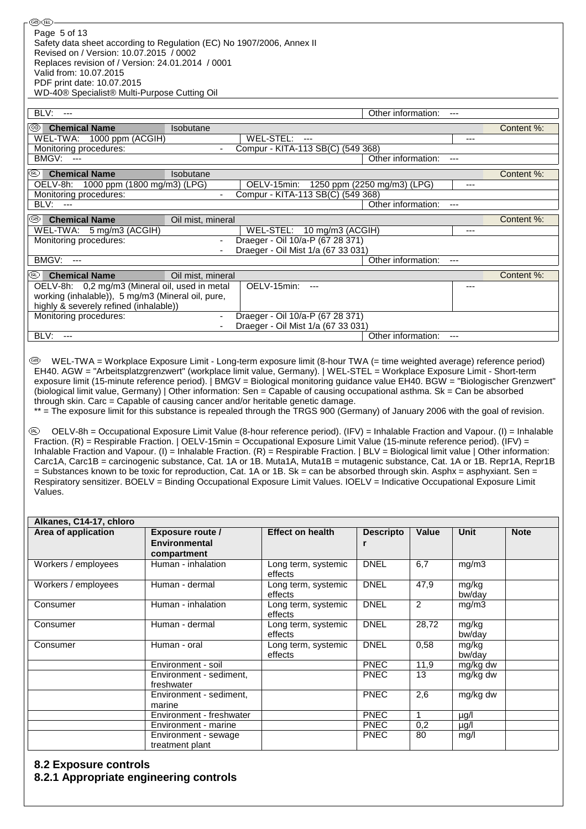| BLV:<br>$---$                                     |                          |                                    | Other information:          |         |            |
|---------------------------------------------------|--------------------------|------------------------------------|-----------------------------|---------|------------|
| ⊛<br><b>Chemical Name</b>                         | Isobutane                |                                    |                             |         | Content %: |
| WEL-TWA: 1000 ppm (ACGIH)                         |                          | WEL-STEL: ---                      |                             | ---     |            |
| Monitoring procedures:                            |                          | Compur - KITA-113 SB(C) (549 368)  |                             |         |            |
| BMGV: ---                                         |                          |                                    | Other information:          | $---$   |            |
| ⅏<br><b>Chemical Name</b>                         | Isobutane                |                                    |                             |         | Content %: |
| 1000 ppm (1800 mg/m3) (LPG)<br>OELV-8h:           |                          | OELV-15min:                        | 1250 ppm (2250 mg/m3) (LPG) | ---     |            |
| Monitoring procedures:                            |                          | Compur - KITA-113 SB(C) (549 368)  |                             |         |            |
| BLV:<br>$---$                                     |                          |                                    | Other information:          | $- - -$ |            |
| ⊛<br><b>Chemical Name</b>                         | Oil mist, mineral        |                                    |                             |         | Content %: |
| WEL-TWA: 5 mg/m3 (ACGIH)                          |                          | WEL-STEL: 10 mg/m3 (ACGIH)         |                             | ---     |            |
| Monitoring procedures:                            | $\overline{\phantom{a}}$ | Draeger - Oil 10/a-P (67 28 371)   |                             |         |            |
|                                                   | $\blacksquare$           | Draeger - Oil Mist 1/a (67 33 031) |                             |         |            |
| BMGV:<br>$---$                                    |                          |                                    | Other information:          | $- - -$ |            |
| <b>Chemical Name</b><br>(RL)                      | Oil mist, mineral        |                                    |                             |         | Content %: |
| OELV-8h: 0,2 mg/m3 (Mineral oil, used in metal    |                          | OELV-15min:<br>$---$               |                             | ---     |            |
| working (inhalable)), 5 mg/m3 (Mineral oil, pure, |                          |                                    |                             |         |            |
| highly & severely refined (inhalable))            |                          |                                    |                             |         |            |
| Monitoring procedures:                            | $\overline{\phantom{a}}$ | Draeger - Oil 10/a-P (67 28 371)   |                             |         |            |
|                                                   | $\blacksquare$           | Draeger - Oil Mist 1/a (67 33 031) |                             |         |            |
| BLV:<br>---                                       |                          |                                    | Other information:          | $---$   |            |

 WEL-TWA = Workplace Exposure Limit - Long-term exposure limit (8-hour TWA (= time weighted average) reference period) EH40. AGW = "Arbeitsplatzgrenzwert" (workplace limit value, Germany). | WEL-STEL = Workplace Exposure Limit - Short-term exposure limit (15-minute reference period). | BMGV = Biological monitoring guidance value EH40. BGW = "Biologischer Grenzwert" (biological limit value, Germany) | Other information: Sen = Capable of causing occupational asthma. Sk = Can be absorbed through skin. Carc = Capable of causing cancer and/or heritable genetic damage.

\*\* = The exposure limit for this substance is repealed through the TRGS 900 (Germany) of January 2006 with the goal of revision.

 OELV-8h = Occupational Exposure Limit Value (8-hour reference period). (IFV) = Inhalable Fraction and Vapour. (I) = Inhalable Fraction. (R) = Respirable Fraction. | OELV-15min = Occupational Exposure Limit Value (15-minute reference period). (IFV) = Inhalable Fraction and Vapour. (I) = Inhalable Fraction. (R) = Respirable Fraction. | BLV = Biological limit value | Other information: Carc1A, Carc1B = carcinogenic substance, Cat. 1A or 1B. Muta1A, Muta1B = mutagenic substance, Cat. 1A or 1B. Repr1A, Repr1B = Substances known to be toxic for reproduction, Cat. 1A or 1B. Sk = can be absorbed through skin. Asphx = asphyxiant. Sen = Respiratory sensitizer. BOELV = Binding Occupational Exposure Limit Values. IOELV = Indicative Occupational Exposure Limit Values.

| Alkanes, C14-17, chloro |                                         |                                |                  |       |                 |             |  |  |  |
|-------------------------|-----------------------------------------|--------------------------------|------------------|-------|-----------------|-------------|--|--|--|
| Area of application     | <b>Exposure route /</b>                 | <b>Effect on health</b>        | <b>Descripto</b> | Value | <b>Unit</b>     | <b>Note</b> |  |  |  |
|                         | <b>Environmental</b>                    |                                |                  |       |                 |             |  |  |  |
|                         | compartment                             |                                |                  |       |                 |             |  |  |  |
| Workers / employees     | Human - inhalation                      | Long term, systemic<br>effects | <b>DNEL</b>      | 6,7   | mg/m3           |             |  |  |  |
| Workers / employees     | Human - dermal                          | Long term, systemic<br>effects | <b>DNEL</b>      | 47,9  | mg/kg<br>bw/day |             |  |  |  |
| Consumer                | Human - inhalation                      | Long term, systemic<br>effects | <b>DNEL</b>      | 2     | mg/m3           |             |  |  |  |
| Consumer                | Human - dermal                          | Long term, systemic<br>effects | <b>DNEL</b>      | 28,72 | mg/kg<br>bw/day |             |  |  |  |
| Consumer                | Human - oral                            | Long term, systemic<br>effects | <b>DNEL</b>      | 0,58  | mg/kg<br>bw/day |             |  |  |  |
|                         | Environment - soil                      |                                | <b>PNEC</b>      | 11,9  | mg/kg dw        |             |  |  |  |
|                         | Environment - sediment,<br>freshwater   |                                | <b>PNEC</b>      | 13    | mg/kg dw        |             |  |  |  |
|                         | Environment - sediment,<br>marine       |                                | <b>PNEC</b>      | 2,6   | mg/kg dw        |             |  |  |  |
|                         | Environment - freshwater                |                                | <b>PNEC</b>      |       | µg/l            |             |  |  |  |
|                         | Environment - marine                    |                                | <b>PNEC</b>      | 0,2   | $\mu$ g/l       |             |  |  |  |
|                         | Environment - sewage<br>treatment plant |                                | <b>PNEC</b>      | 80    | mg/l            |             |  |  |  |

## **8.2 Exposure controls**

#### **8.2.1 Appropriate engineering controls**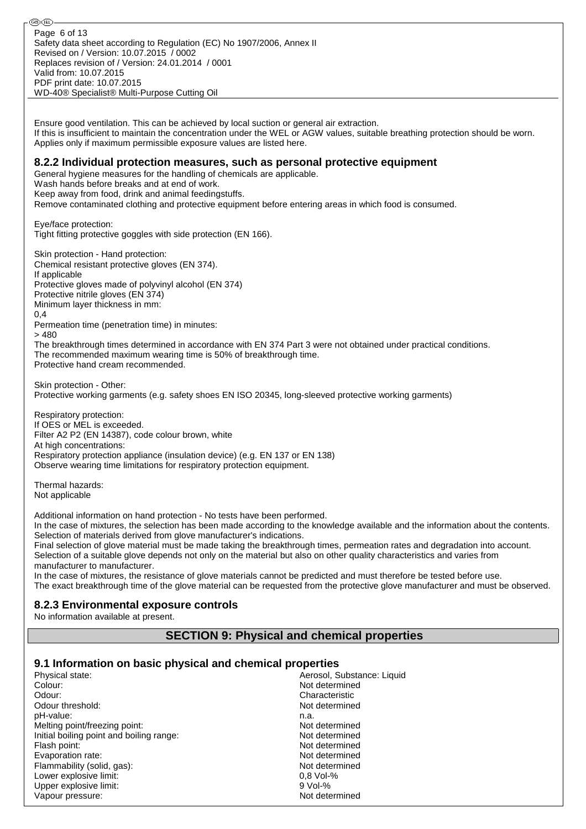ை® Page 6 of 13Safety data sheet according to Regulation (EC) No 1907/2006, Annex II Revised on / Version: 10.07.2015 / 0002 Replaces revision of / Version: 24.01.2014 / 0001 Valid from: 10.07.2015 PDF print date: 10.07.2015 WD-40® Specialist® Multi-Purpose Cutting Oil

Ensure good ventilation. This can be achieved by local suction or general air extraction. If this is insufficient to maintain the concentration under the WEL or AGW values, suitable breathing protection should be worn. Applies only if maximum permissible exposure values are listed here.

#### **8.2.2 Individual protection measures, such as personal protective equipment**

General hygiene measures for the handling of chemicals are applicable.

Wash hands before breaks and at end of work. Keep away from food, drink and animal feedingstuffs.

Remove contaminated clothing and protective equipment before entering areas in which food is consumed.

Eye/face protection: Tight fitting protective goggles with side protection (EN 166).

Skin protection - Hand protection: Chemical resistant protective gloves (EN 374). If applicable Protective gloves made of polyvinyl alcohol (EN 374) Protective nitrile gloves (EN 374) Minimum layer thickness in mm: 0,4 Permeation time (penetration time) in minutes: > 480 The breakthrough times determined in accordance with EN 374 Part 3 were not obtained under practical conditions. The recommended maximum wearing time is 50% of breakthrough time. Protective hand cream recommended.

Skin protection - Other: Protective working garments (e.g. safety shoes EN ISO 20345, long-sleeved protective working garments)

Respiratory protection: If OES or MEL is exceeded. Filter A2 P2 (EN 14387), code colour brown, white At high concentrations: Respiratory protection appliance (insulation device) (e.g. EN 137 or EN 138) Observe wearing time limitations for respiratory protection equipment.

Thermal hazards: Not applicable

Additional information on hand protection - No tests have been performed.

In the case of mixtures, the selection has been made according to the knowledge available and the information about the contents. Selection of materials derived from glove manufacturer's indications.

Final selection of glove material must be made taking the breakthrough times, permeation rates and degradation into account. Selection of a suitable glove depends not only on the material but also on other quality characteristics and varies from manufacturer to manufacturer.

In the case of mixtures, the resistance of glove materials cannot be predicted and must therefore be tested before use. The exact breakthrough time of the glove material can be requested from the protective glove manufacturer and must be observed.

#### **8.2.3 Environmental exposure controls**

No information available at present.

## **SECTION 9: Physical and chemical properties**

#### **9.1 Information on basic physical and chemical properties**

| Physical state:                          | Aerosol, Substance: Liquid |
|------------------------------------------|----------------------------|
| Colour:                                  | Not determined             |
| Odour:                                   | Characteristic             |
| Odour threshold:                         | Not determined             |
| pH-value:                                | n.a.                       |
| Melting point/freezing point:            | Not determined             |
| Initial boiling point and boiling range: | Not determined             |
| Flash point:                             | Not determined             |
| Evaporation rate:                        | Not determined             |
| Flammability (solid, gas):               | Not determined             |
| Lower explosive limit:                   | $0.8$ Vol-%                |
| Upper explosive limit:                   | $9$ Vol- $%$               |
| Vapour pressure:                         | Not determined             |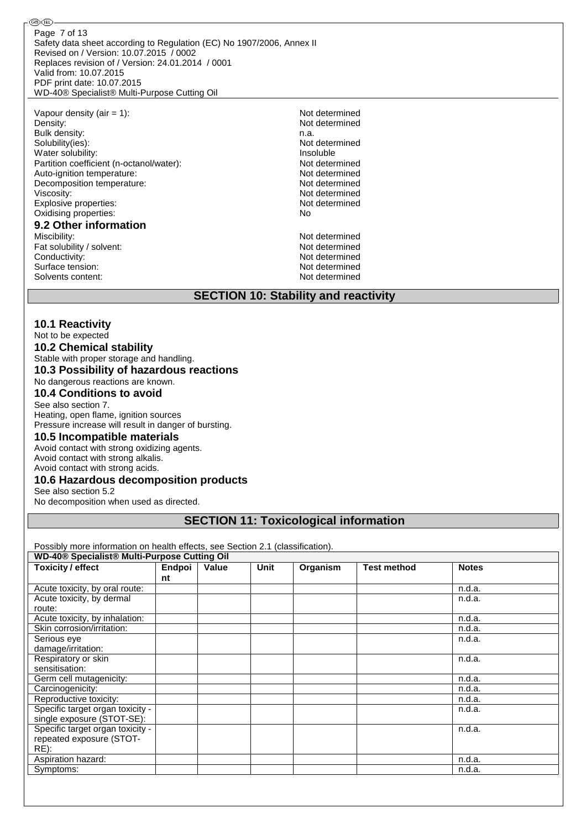Safety data sheet according to Regulation (EC) No 1907/2006, Annex II Revised on / Version: 10.07.2015 / 0002 Replaces revision of / Version: 24.01.2014 / 0001 Valid from: 10.07.2015 PDF print date: 10.07.2015 WD-40® Specialist® Multi-Purpose Cutting Oil Page 7 of 13

Vapour density (air = 1): Not determined Density: Not determined Bulk density: n.a. Solubility(ies):<br>
Water solubility:<br>
Water solubility:<br>
Water solubility: Water solubility:<br>
Partition coefficient (n-octanol/water):<br>
Partition coefficient (n-octanol/water):<br>
Partition coefficient (n-octanol/water): Partition coefficient (n-octanol/water): Not determined<br>Auto-ignition temperature: Not determined Auto-ignition temperature:<br>
Decomposition temperature:<br>
Not determined<br>
Not determined Decomposition temperature: Viscosity: Not determined<br>
Explosive properties:<br>
Explosive properties:<br>
Not determined Explosive properties: Not determined the properties of the contract of the contract of the contract of the contract of the contract of the contract of the contract of the contract of the contract of the contract of the con Oxidising properties: **9.2 Other information** Miscibility:<br>
Fat solubility / solvent:<br>
Fat solubility / solvent:<br>
Not determined

Fat solubility / solvent: Conductivity:<br>
Surface tension:<br>
Not determined<br>
Not determined Surface tension: Not determined<br>Solvents content: Not determined<br>Not determined Solvents content:

®®

## **SECTION 10: Stability and reactivity**

#### **10.1 Reactivity**

#### Not to be expected **10.2 Chemical stability** Stable with proper storage and handling. **10.3 Possibility of hazardous reactions** No dangerous reactions are known.

## **10.4 Conditions to avoid**

## See also section 7.

Heating, open flame, ignition sources Pressure increase will result in danger of bursting.

#### **10.5 Incompatible materials**

Avoid contact with strong oxidizing agents. Avoid contact with strong alkalis.

Avoid contact with strong acids.

#### **10.6 Hazardous decomposition products**

See also section 5.2

No decomposition when used as directed.

## **SECTION 11: Toxicological information**

Possibly more information on health effects, see Section 2.1 (classification).

| <b>WD-40® Specialist® Multi-Purpose Cutting Oil</b> |        |       |      |          |                    |              |
|-----------------------------------------------------|--------|-------|------|----------|--------------------|--------------|
| <b>Toxicity / effect</b>                            | Endpoi | Value | Unit | Organism | <b>Test method</b> | <b>Notes</b> |
|                                                     | nt     |       |      |          |                    |              |
| Acute toxicity, by oral route:                      |        |       |      |          |                    | n.d.a.       |
| Acute toxicity, by dermal                           |        |       |      |          |                    | n.d.a.       |
| route:                                              |        |       |      |          |                    |              |
| Acute toxicity, by inhalation:                      |        |       |      |          |                    | n.d.a.       |
| Skin corrosion/irritation:                          |        |       |      |          |                    | n.d.a.       |
| Serious eye                                         |        |       |      |          |                    | n.d.a.       |
| damage/irritation:                                  |        |       |      |          |                    |              |
| Respiratory or skin                                 |        |       |      |          |                    | n.d.a.       |
| sensitisation:                                      |        |       |      |          |                    |              |
| Germ cell mutagenicity:                             |        |       |      |          |                    | n.d.a.       |
| Carcinogenicity:                                    |        |       |      |          |                    | n.d.a.       |
| Reproductive toxicity:                              |        |       |      |          |                    | n.d.a.       |
| Specific target organ toxicity -                    |        |       |      |          |                    | n.d.a.       |
| single exposure (STOT-SE):                          |        |       |      |          |                    |              |
| Specific target organ toxicity -                    |        |       |      |          |                    | n.d.a.       |
| repeated exposure (STOT-                            |        |       |      |          |                    |              |
| RE):                                                |        |       |      |          |                    |              |
| Aspiration hazard:                                  |        |       |      |          |                    | n.d.a.       |
| Symptoms:                                           |        |       |      |          |                    | n.d.a.       |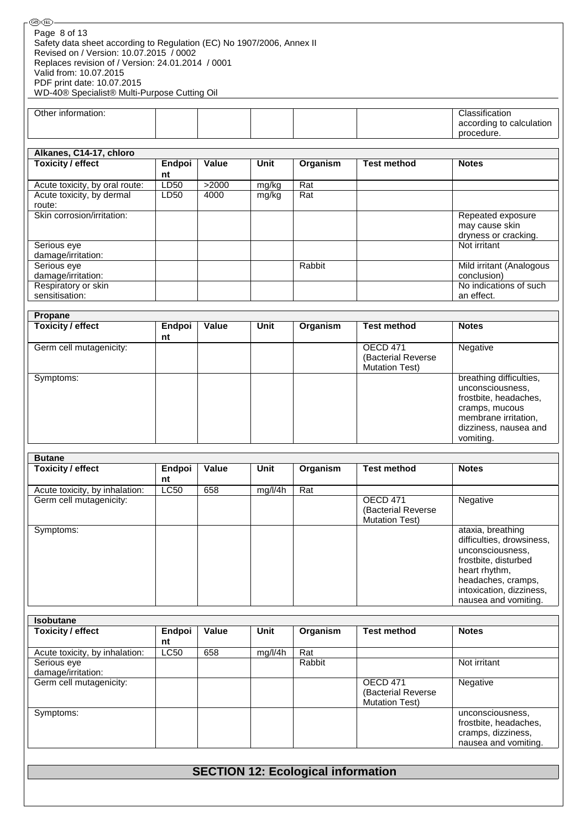| GB) (IRL)                                                                                                                        |
|----------------------------------------------------------------------------------------------------------------------------------|
| Page 8 of 13<br>Safety data sheet according to Regulation (EC) No 1907/2006, Annex II<br>Revised on / Version: 10.07.2015 / 0002 |
| Replaces revision of / Version: 24.01.2014 / 0001                                                                                |
| Valid from: 10.07.2015<br>PDF print date: 10.07.2015                                                                             |
| WD-40® Specialist® Multi-Purpose Cutting Oil                                                                                     |

| Alkanes, C14-17, chloro        |        |       |             |          |             |                                                             |
|--------------------------------|--------|-------|-------------|----------|-------------|-------------------------------------------------------------|
| <b>Toxicity / effect</b>       | Endpoi | Value | <b>Unit</b> | Organism | Test method | <b>Notes</b>                                                |
|                                | nt     |       |             |          |             |                                                             |
| Acute toxicity, by oral route: | LD50   | >2000 | mg/kg       | Rat      |             |                                                             |
| Acute toxicity, by dermal      | LD50   | 4000  | mg/kg       | Rat      |             |                                                             |
| route:                         |        |       |             |          |             |                                                             |
| Skin corrosion/irritation:     |        |       |             |          |             | Repeated exposure<br>may cause skin<br>dryness or cracking. |
| Serious eye                    |        |       |             |          |             | Not irritant                                                |
| damage/irritation:             |        |       |             |          |             |                                                             |
| Serious eye                    |        |       |             | Rabbit   |             | Mild irritant (Analogous                                    |
| damage/irritation:             |        |       |             |          |             | conclusion)                                                 |
| Respiratory or skin            |        |       |             |          |             | No indications of such                                      |
| sensitisation:                 |        |       |             |          |             | an effect.                                                  |

| Propane                  |              |       |      |          |                                                                 |                                                                                                                                                      |
|--------------------------|--------------|-------|------|----------|-----------------------------------------------------------------|------------------------------------------------------------------------------------------------------------------------------------------------------|
| <b>Toxicity / effect</b> | Endpoi<br>nt | Value | Unit | Organism | <b>Test method</b>                                              | <b>Notes</b>                                                                                                                                         |
| Germ cell mutagenicity:  |              |       |      |          | <b>OECD 471</b><br>(Bacterial Reverse)<br><b>Mutation Test)</b> | Negative                                                                                                                                             |
| Symptoms:                |              |       |      |          |                                                                 | breathing difficulties,<br>unconsciousness,<br>frostbite, headaches,<br>cramps, mucous<br>membrane irritation,<br>dizziness, nausea and<br>vomiting. |

| <b>Butane</b>                  |             |       |         |          |                       |                           |
|--------------------------------|-------------|-------|---------|----------|-----------------------|---------------------------|
| Toxicity / effect              | Endpoi      | Value | Unit    | Organism | <b>Test method</b>    | <b>Notes</b>              |
|                                | nt          |       |         |          |                       |                           |
| Acute toxicity, by inhalation: | <b>LC50</b> | 658   | mg/l/4h | Rat      |                       |                           |
| Germ cell mutagenicity:        |             |       |         |          | <b>OECD 471</b>       | Negative                  |
|                                |             |       |         |          | (Bacterial Reverse    |                           |
|                                |             |       |         |          | <b>Mutation Test)</b> |                           |
| Symptoms:                      |             |       |         |          |                       | ataxia, breathing         |
|                                |             |       |         |          |                       | difficulties, drowsiness, |
|                                |             |       |         |          |                       | unconsciousness,          |
|                                |             |       |         |          |                       | frostbite, disturbed      |
|                                |             |       |         |          |                       | heart rhythm.             |
|                                |             |       |         |          |                       | headaches, cramps,        |
|                                |             |       |         |          |                       | intoxication, dizziness,  |
|                                |             |       |         |          |                       | nausea and vomiting.      |

| <b>Isobutane</b>               |             |       |         |          |                       |                       |
|--------------------------------|-------------|-------|---------|----------|-----------------------|-----------------------|
| <b>Toxicity / effect</b>       | Endpoi      | Value | Unit    | Organism | Test method           | <b>Notes</b>          |
|                                | nt          |       |         |          |                       |                       |
| Acute toxicity, by inhalation: | <b>LC50</b> | 658   | mg/l/4h | Rat      |                       |                       |
| Serious eye                    |             |       |         | Rabbit   |                       | Not irritant          |
| damage/irritation:             |             |       |         |          |                       |                       |
| Germ cell mutagenicity:        |             |       |         |          | OECD 471              | Negative              |
|                                |             |       |         |          | (Bacterial Reverse)   |                       |
|                                |             |       |         |          | <b>Mutation Test)</b> |                       |
| Symptoms:                      |             |       |         |          |                       | unconsciousness,      |
|                                |             |       |         |          |                       | frostbite, headaches, |
|                                |             |       |         |          |                       | cramps, dizziness,    |
|                                |             |       |         |          |                       | nausea and vomiting.  |

# **SECTION 12: Ecological information**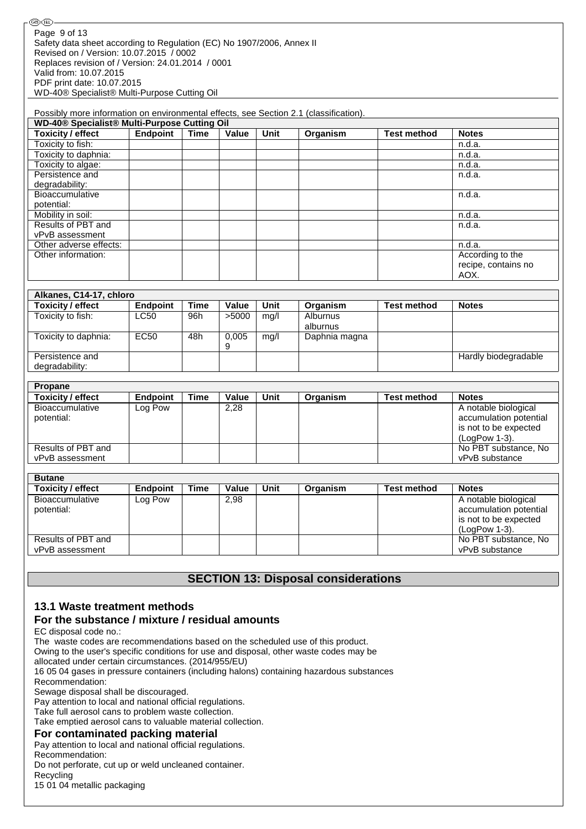| Possibly more information on environmental effects, see Section 2.1 (classification). |                 |      |       |      |          |                    |                                                 |
|---------------------------------------------------------------------------------------|-----------------|------|-------|------|----------|--------------------|-------------------------------------------------|
| WD-40 <sup>®</sup> Specialist <sup>®</sup> Multi-Purpose Cutting Oil                  |                 |      |       |      |          |                    |                                                 |
| Toxicity / effect                                                                     | <b>Endpoint</b> | Time | Value | Unit | Organism | <b>Test method</b> | <b>Notes</b>                                    |
| Toxicity to fish:                                                                     |                 |      |       |      |          |                    | n.d.a.                                          |
| Toxicity to daphnia:                                                                  |                 |      |       |      |          |                    | n.d.a.                                          |
| Toxicity to algae:                                                                    |                 |      |       |      |          |                    | n.d.a.                                          |
| Persistence and                                                                       |                 |      |       |      |          |                    | n.d.a.                                          |
| degradability:                                                                        |                 |      |       |      |          |                    |                                                 |
| <b>Bioaccumulative</b>                                                                |                 |      |       |      |          |                    | n.d.a.                                          |
| potential:                                                                            |                 |      |       |      |          |                    |                                                 |
| Mobility in soil:                                                                     |                 |      |       |      |          |                    | n.d.a.                                          |
| Results of PBT and                                                                    |                 |      |       |      |          |                    | n.d.a.                                          |
| vPvB assessment                                                                       |                 |      |       |      |          |                    |                                                 |
| Other adverse effects:                                                                |                 |      |       |      |          |                    | n.d.a.                                          |
| Other information:                                                                    |                 |      |       |      |          |                    | According to the<br>recipe, contains no<br>AOX. |

| Alkanes, C14-17, chloro  |                 |      |       |      |               |                    |                      |
|--------------------------|-----------------|------|-------|------|---------------|--------------------|----------------------|
| <b>Toxicity / effect</b> | <b>Endpoint</b> | Time | Value | Unit | Organism      | <b>Test method</b> | <b>Notes</b>         |
| Toxicity to fish:        | <b>LC50</b>     | 96h  | >5000 | mg/l | Alburnus      |                    |                      |
|                          |                 |      |       |      | alburnus      |                    |                      |
| Toxicity to daphnia:     | EC50            | 48h  | 0,005 | mq/l | Daphnia magna |                    |                      |
|                          |                 |      | 9     |      |               |                    |                      |
| Persistence and          |                 |      |       |      |               |                    | Hardly biodegradable |
| degradability:           |                 |      |       |      |               |                    |                      |

| Propane                       |                 |      |       |      |          |                    |                                                                                          |
|-------------------------------|-----------------|------|-------|------|----------|--------------------|------------------------------------------------------------------------------------------|
| Toxicity / effect             | <b>Endpoint</b> | Time | Value | Unit | Organism | <b>Test method</b> | <b>Notes</b>                                                                             |
| Bioaccumulative<br>potential: | Log Pow         |      | 2,28  |      |          |                    | A notable biological<br>accumulation potential<br>is not to be expected<br>(LoaPow 1-3). |
| Results of PBT and            |                 |      |       |      |          |                    | No PBT substance, No                                                                     |
| vPvB assessment               |                 |      |       |      |          |                    | vPvB substance                                                                           |

| <b>Butane</b>            |          |      |       |      |          |             |                        |
|--------------------------|----------|------|-------|------|----------|-------------|------------------------|
| <b>Toxicity / effect</b> | Endpoint | Time | Value | Unit | Organism | Test method | <b>Notes</b>           |
| Bioaccumulative          | Log Pow  |      | 2,98  |      |          |             | A notable biological   |
| potential:               |          |      |       |      |          |             | accumulation potential |
|                          |          |      |       |      |          |             | is not to be expected  |
|                          |          |      |       |      |          |             | (LogPow 1-3).          |
| Results of PBT and       |          |      |       |      |          |             | No PBT substance, No   |
| vPvB assessment          |          |      |       |      |          |             | vPvB substance         |

## **SECTION 13: Disposal considerations**

## **13.1 Waste treatment methods**

## **For the substance / mixture / residual amounts**

EC disposal code no.:

The waste codes are recommendations based on the scheduled use of this product.

Owing to the user's specific conditions for use and disposal, other waste codes may be

allocated under certain circumstances. (2014/955/EU)

16 05 04 gases in pressure containers (including halons) containing hazardous substances Recommendation:

Sewage disposal shall be discouraged.

Pay attention to local and national official regulations.

Take full aerosol cans to problem waste collection.

Take emptied aerosol cans to valuable material collection.

#### **For contaminated packing material**

Pay attention to local and national official regulations. Recommendation: Do not perforate, cut up or weld uncleaned container. Recycling 15 01 04 metallic packaging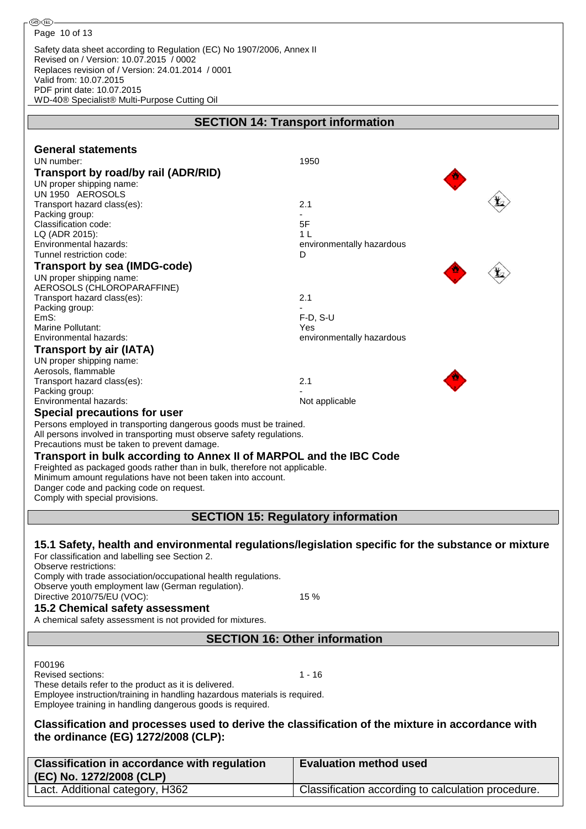Safety data sheet according to Regulation (EC) No 1907/2006, Annex II Revised on / Version: 10.07.2015 / 0002 Replaces revision of / Version: 24.01.2014 / 0001 Valid from: 10.07.2015 PDF print date: 10.07.2015 WD-40® Specialist® Multi-Purpose Cutting Oil

|                                                                            | <b>SECTION 14: Transport information</b>                                                            |
|----------------------------------------------------------------------------|-----------------------------------------------------------------------------------------------------|
|                                                                            |                                                                                                     |
| <b>General statements</b>                                                  |                                                                                                     |
| UN number:                                                                 | 1950                                                                                                |
| Transport by road/by rail (ADR/RID)                                        |                                                                                                     |
| UN proper shipping name:                                                   |                                                                                                     |
| UN 1950 AEROSOLS<br>Transport hazard class(es):                            | 2.1                                                                                                 |
| Packing group:                                                             |                                                                                                     |
| Classification code:                                                       | 5F                                                                                                  |
| LQ (ADR 2015):                                                             | 1 <sub>L</sub>                                                                                      |
| Environmental hazards:                                                     | environmentally hazardous                                                                           |
| Tunnel restriction code:                                                   | D                                                                                                   |
| <b>Transport by sea (IMDG-code)</b>                                        |                                                                                                     |
| UN proper shipping name:                                                   |                                                                                                     |
| AEROSOLS (CHLOROPARAFFINE)                                                 |                                                                                                     |
| Transport hazard class(es):                                                | 2.1                                                                                                 |
| Packing group:                                                             |                                                                                                     |
| EmS:<br>Marine Pollutant:                                                  | $F-D, S-U$<br>Yes                                                                                   |
| Environmental hazards:                                                     | environmentally hazardous                                                                           |
| <b>Transport by air (IATA)</b>                                             |                                                                                                     |
| UN proper shipping name:                                                   |                                                                                                     |
| Aerosols, flammable                                                        |                                                                                                     |
| Transport hazard class(es):                                                | 2.1                                                                                                 |
| Packing group:                                                             |                                                                                                     |
| Environmental hazards:                                                     | Not applicable                                                                                      |
| <b>Special precautions for user</b>                                        |                                                                                                     |
| Persons employed in transporting dangerous goods must be trained.          |                                                                                                     |
| All persons involved in transporting must observe safety regulations.      |                                                                                                     |
| Precautions must be taken to prevent damage.                               |                                                                                                     |
| Transport in bulk according to Annex II of MARPOL and the IBC Code         |                                                                                                     |
| Freighted as packaged goods rather than in bulk, therefore not applicable. |                                                                                                     |
| Minimum amount regulations have not been taken into account.               |                                                                                                     |
| Danger code and packing code on request.                                   |                                                                                                     |
| Comply with special provisions.                                            |                                                                                                     |
|                                                                            | <b>SECTION 15: Regulatory information</b>                                                           |
|                                                                            |                                                                                                     |
|                                                                            | 15.1 Safety, health and environmental regulations/legislation specific for the substance or mixture |
| For classification and labelling see Section 2.                            |                                                                                                     |
| Observe restrictions:                                                      |                                                                                                     |
| Comply with trade association/occupational health regulations.             |                                                                                                     |
| Observe youth employment law (German regulation).                          |                                                                                                     |
| Directive 2010/75/EU (VOC):                                                | 15 %                                                                                                |

#### **15.2 Chemical safety assessment**

A chemical safety assessment is not provided for mixtures.

**SECTION 16: Other information**

F00196

Revised sections: 1 - 16

These details refer to the product as it is delivered. Employee instruction/training in handling hazardous materials is required.

Employee training in handling dangerous goods is required.

**Classification and processes used to derive the classification of the mixture in accordance with the ordinance (EG) 1272/2008 (CLP):**

| <b>Classification in accordance with regulation</b><br>(EC) No. 1272/2008 (CLP) | <b>Evaluation method used</b>                      |
|---------------------------------------------------------------------------------|----------------------------------------------------|
| Lact. Additional category, H362                                                 | Classification according to calculation procedure. |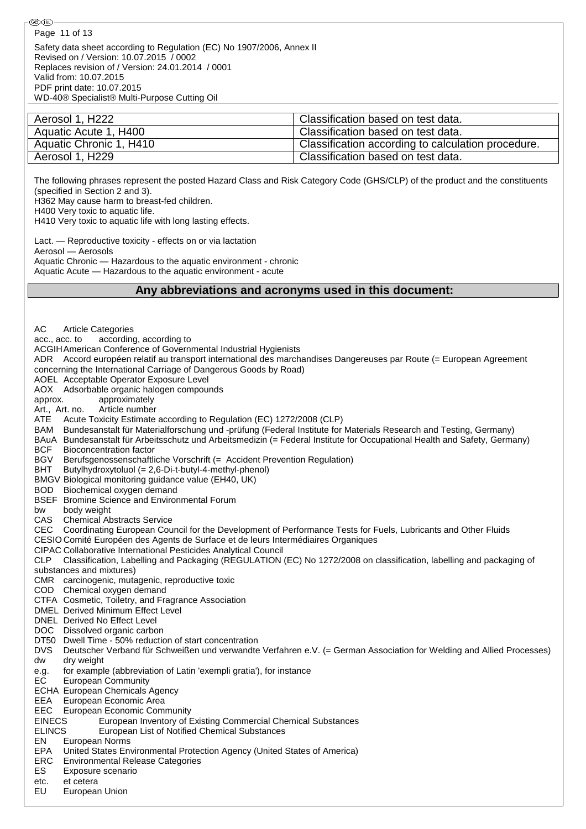Safety data sheet according to Regulation (EC) No 1907/2006, Annex II Revised on / Version: 10.07.2015 / 0002 Replaces revision of / Version: 24.01.2014 / 0001 Valid from: 10.07.2015 PDF print date: 10.07.2015 WD-40® Specialist® Multi-Purpose Cutting Oil

| Aerosol 1, H222         | Classification based on test data.                 |
|-------------------------|----------------------------------------------------|
| Aquatic Acute 1, H400   | <sup>1</sup> Classification based on test data.    |
| Aquatic Chronic 1, H410 | Classification according to calculation procedure. |
| Aerosol 1, H229         | <sup>1</sup> Classification based on test data.    |

The following phrases represent the posted Hazard Class and Risk Category Code (GHS/CLP) of the product and the constituents (specified in Section 2 and 3). H362 May cause harm to breast-fed children.

H400 Very toxic to aquatic life.

H410 Very toxic to aquatic life with long lasting effects.

Lact. — Reproductive toxicity - effects on or via lactation Aerosol — Aerosols Aquatic Chronic — Hazardous to the aquatic environment - chronic

Aquatic Acute — Hazardous to the aquatic environment - acute

#### **Any abbreviations and acronyms used in this document:**

AC Article Categories acc., acc. to according, according to ACGIHAmerican Conference of Governmental Industrial Hygienists ADR Accord européen relatif au transport international des marchandises Dangereuses par Route (= European Agreement concerning the International Carriage of Dangerous Goods by Road) AOEL Acceptable Operator Exposure Level AOX Adsorbable organic halogen compounds approx. approximately Art., Art. no. Article number ATE Acute Toxicity Estimate according to Regulation (EC) 1272/2008 (CLP) BAM Bundesanstalt für Materialforschung und -prüfung (Federal Institute for Materials Research and Testing, Germany) BAuA Bundesanstalt für Arbeitsschutz und Arbeitsmedizin (= Federal Institute for Occupational Health and Safety, Germany) BCF Bioconcentration factor BGV Berufsgenossenschaftliche Vorschrift (= Accident Prevention Regulation) BHT Butylhydroxytoluol (= 2,6-Di-t-butyl-4-methyl-phenol) BMGV Biological monitoring guidance value (EH40, UK) BOD Biochemical oxygen demand BSEF Bromine Science and Environmental Forum bw body weight CAS Chemical Abstracts Service CEC Coordinating European Council for the Development of Performance Tests for Fuels, Lubricants and Other Fluids CESIO Comité Européen des Agents de Surface et de leurs Intermédiaires Organiques CIPAC Collaborative International Pesticides Analytical Council CLP Classification, Labelling and Packaging (REGULATION (EC) No 1272/2008 on classification, labelling and packaging of substances and mixtures) CMR carcinogenic, mutagenic, reproductive toxic COD Chemical oxygen demand CTFA Cosmetic, Toiletry, and Fragrance Association DMEL Derived Minimum Effect Level DNEL Derived No Effect Level DOC Dissolved organic carbon DT50 Dwell Time - 50% reduction of start concentration DVS Deutscher Verband für Schweißen und verwandte Verfahren e.V. (= German Association for Welding and Allied Processes) dw dry weight e.g. for example (abbreviation of Latin 'exempli gratia'), for instance EC European Community ECHA European Chemicals Agency EEA European Economic Area EEC European Economic Community EINECS European Inventory of Existing Commercial Chemical Substances<br>
ELINCS European List of Notified Chemical Substances European List of Notified Chemical Substances EN European Norms EPA United States Environmental Protection Agency (United States of America) ERC Environmental Release Categories ES Exposure scenario etc. et cetera<br>EU Europear

European Union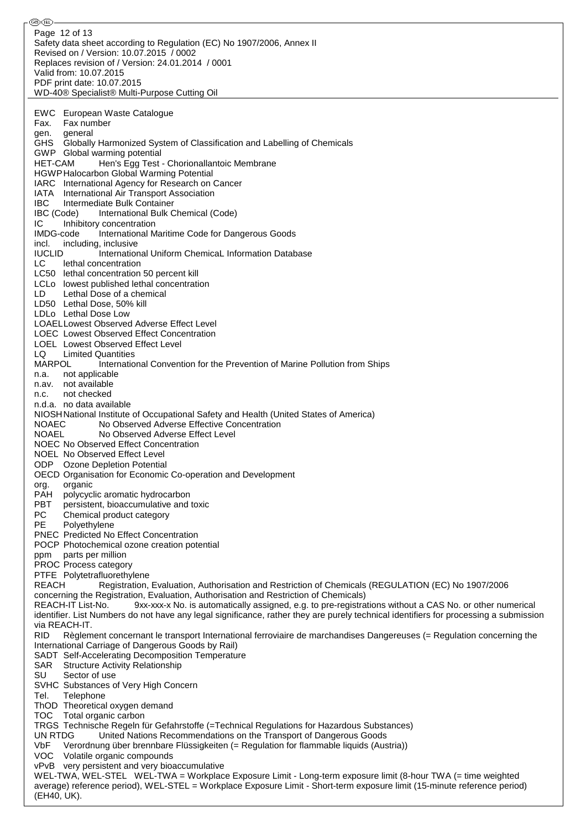ை® Page 12 of 13Safety data sheet according to Regulation (EC) No 1907/2006, Annex II Revised on / Version: 10.07.2015 / 0002 Replaces revision of / Version: 24.01.2014 / 0001 Valid from: 10.07.2015 PDF print date: 10.07.2015 WD-40® Specialist® Multi-Purpose Cutting Oil EWC European Waste Catalogue Fax. Fax number gen. general GHS Globally Harmonized System of Classification and Labelling of Chemicals GWP Global warming potential HET-CAM Hen's Egg Test - Chorionallantoic Membrane HGWPHalocarbon Global Warming Potential IARC International Agency for Research on Cancer IATA International Air Transport Association **IBC** Intermediate Bulk Container<br>**IBC** (Code) International Bulk C International Bulk Chemical (Code) IC Inhibitory concentration IMDG-code International Maritime Code for Dangerous Goods incl. including, inclusive IUCLID International Uniform ChemicaL Information Database LC lethal concentration LC50 lethal concentration 50 percent kill LCLo lowest published lethal concentration LD Lethal Dose of a chemical LD50 Lethal Dose, 50% kill LDLo Lethal Dose Low LOAELLowest Observed Adverse Effect Level LOEC Lowest Observed Effect Concentration LOEL Lowest Observed Effect Level LQ Limited Quantities MARPOL International Convention for the Prevention of Marine Pollution from Ships n.a. not applicable n.av. not available n.c. not checked n.d.a. no data available NIOSHNational Institute of Occupational Safety and Health (United States of America) NOAEC No Observed Adverse Effective Concentration NOAEL No Observed Adverse Effect Level NOEC No Observed Effect Concentration NOEL No Observed Effect Level ODP Ozone Depletion Potential OECD Organisation for Economic Co-operation and Development org. organic PAH polycyclic aromatic hydrocarbon PBT persistent, bioaccumulative and toxic<br>PC Chemical product category Chemical product category PE Polyethylene PNEC Predicted No Effect Concentration POCP Photochemical ozone creation potential ppm parts per million PROC Process category PTFE Polytetrafluorethylene REACH Registration, Evaluation, Authorisation and Restriction of Chemicals (REGULATION (EC) No 1907/2006 concerning the Registration, Evaluation, Authorisation and Restriction of Chemicals) REACH-IT List-No. 9xx-xxx-x No. is automatically assigned, e.g. to pre-registrations without a CAS No. or other numerical identifier. List Numbers do not have any legal significance, rather they are purely technical identifiers for processing a submission via REACH-IT. RID Règlement concernant le transport International ferroviaire de marchandises Dangereuses (= Regulation concerning the International Carriage of Dangerous Goods by Rail) SADT Self-Accelerating Decomposition Temperature SAR Structure Activity Relationship SU Sector of use SVHC Substances of Very High Concern Tel. Telephone ThOD Theoretical oxygen demand TOC Total organic carbon TRGS Technische Regeln für Gefahrstoffe (=Technical Regulations for Hazardous Substances) UN RTDG United Nations Recommendations on the Transport of Dangerous Goods VbF Verordnung über brennbare Flüssigkeiten (= Regulation for flammable liquids (Austria)) VOC Volatile organic compounds vPvB very persistent and very bioaccumulative WEL-TWA, WEL-STEL WEL-TWA = Workplace Exposure Limit - Long-term exposure limit (8-hour TWA (= time weighted average) reference period), WEL-STEL = Workplace Exposure Limit - Short-term exposure limit (15-minute reference period) (EH40, UK).